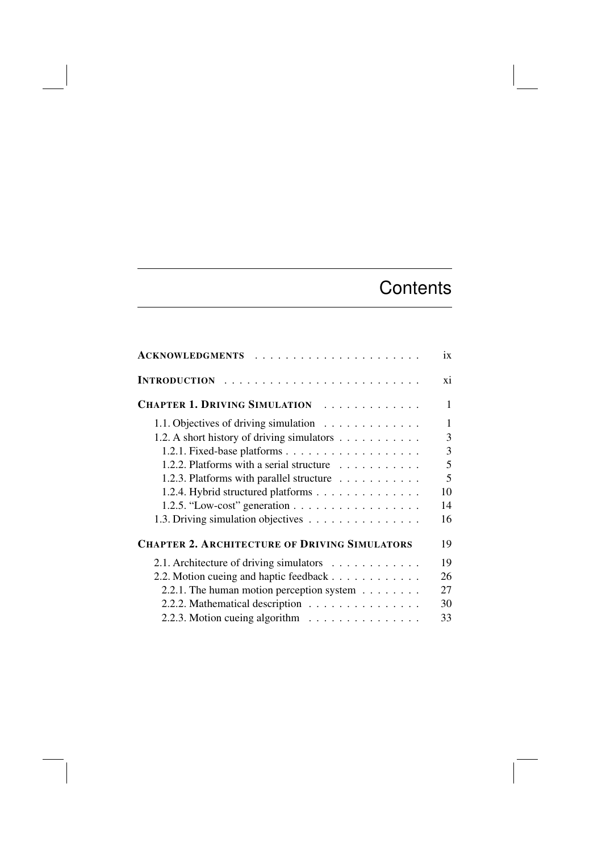## **Contents**

| <b>ACKNOWLEDGMENTS</b>                                                              | ix             |
|-------------------------------------------------------------------------------------|----------------|
|                                                                                     | xi             |
| CHAPTER 1. DRIVING SIMULATION                                                       | 1              |
| 1.1. Objectives of driving simulation<br>1.2. A short history of driving simulators | 1<br>3         |
|                                                                                     | $\overline{3}$ |
| 1.2.2. Platforms with a serial structure                                            | 5              |
| 1.2.3. Platforms with parallel structure                                            | 5              |
| 1.2.4. Hybrid structured platforms                                                  | 10             |
| 1.2.5. "Low-cost" generation                                                        | 14             |
| 1.3. Driving simulation objectives                                                  | 16             |
| <b>CHAPTER 2. ARCHITECTURE OF DRIVING SIMULATORS</b>                                | 19             |
| 2.1. Architecture of driving simulators                                             | 19             |
| 2.2. Motion cueing and haptic feedback                                              | 26             |
| 2.2.1. The human motion perception system                                           | 27             |
| 2.2.2. Mathematical description                                                     | 30             |
| 2.2.3. Motion cueing algorithm                                                      | 33             |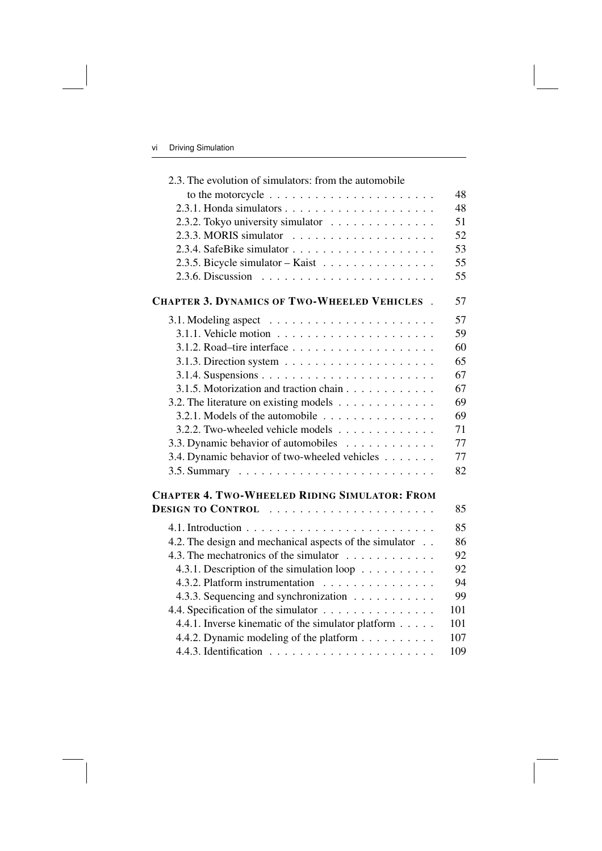| 2.3. The evolution of simulators: from the automobile                      |     |
|----------------------------------------------------------------------------|-----|
| to the motorcycle $\ldots \ldots \ldots \ldots \ldots \ldots \ldots$       | 48  |
|                                                                            | 48  |
| 2.3.2. Tokyo university simulator                                          | 51  |
|                                                                            | 52  |
|                                                                            | 53  |
| 2.3.5. Bicycle simulator - Kaist                                           | 55  |
| 2.3.6. Discussion $\ldots \ldots \ldots \ldots \ldots \ldots \ldots$       | 55  |
| <b>CHAPTER 3. DYNAMICS OF TWO-WHEELED VEHICLES.</b>                        | 57  |
|                                                                            | 57  |
|                                                                            | 59  |
|                                                                            | 60  |
| 3.1.3. Direction system $\ldots \ldots \ldots \ldots \ldots \ldots \ldots$ | 65  |
|                                                                            | 67  |
| 3.1.5. Motorization and traction chain                                     | 67  |
| 3.2. The literature on existing models                                     | 69  |
| 3.2.1. Models of the automobile $\ldots \ldots \ldots \ldots \ldots$       | 69  |
| 3.2.2. Two-wheeled vehicle models                                          | 71  |
| 3.3. Dynamic behavior of automobiles                                       | 77  |
| 3.4. Dynamic behavior of two-wheeled vehicles                              | 77  |
|                                                                            | 82  |
| <b>CHAPTER 4. TWO-WHEELED RIDING SIMULATOR: FROM</b>                       |     |
|                                                                            | 85  |
|                                                                            | 85  |
| 4.2. The design and mechanical aspects of the simulator                    | 86  |
| 4.3. The mechatronics of the simulator                                     | 92  |
| 4.3.1. Description of the simulation loop                                  | 92  |
| 4.3.2. Platform instrumentation                                            | 94  |
| 4.3.3. Sequencing and synchronization                                      | 99  |
| 4.4. Specification of the simulator                                        | 101 |
| 4.4.1. Inverse kinematic of the simulator platform                         | 101 |
| 4.4.2. Dynamic modeling of the platform                                    | 107 |
|                                                                            | 109 |